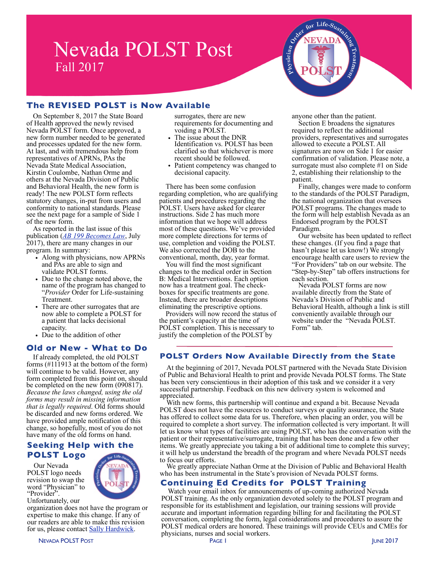# **Nevada POLST Post** Fall 2017

# **The REVISED POLST is Now Available**

On September 8, 2017 the State Board of Health approved the newly revised Nevada POLST form. Once approved, a new form number needed to be generated and processes updated for the new form. At last, and with tremendous help from representatives of APRNs, PAs the Nevada State Medical Association, Kirstin Coulombe, Nathan Orme and others at the Nevada Division of Public and Behavioral Health, the new form is ready! The new POLST form reflects statutory changes, in-put from users and conformity to national standards. Please see the next page for a sample of Side 1 of the new form.

As reported in the last issue of this publication (*[AB 199 Becomes Law](http://www.nevadapolst.org/news/polst-post/)*, July 2017), there are many changes in our program. In summary:

- Along with physicians, now APRNs and PAs are able to sign and validate POLST forms.
- Due to the change noted above, the name of the program has changed to "*Provider* Order for Life-sustaining Treatment.
- There are other surrogates that are now able to complete a POLST for a patient that lacks decisional capacity.
- Due to the addition of other

#### **Old or New - What to Do**

If already completed, the old POLST forms (#111913 at the bottom of the form) will continue to be valid. However, any form completed from this point on, should be completed on the new form (090817). *Because the laws changed, using the old forms may result in missing information that is legally required*. Old forms should be discarded and new forms ordered. We have provided ample notification of this change, so hopefully, most of you do not have many of the old forms on hand.

### **Seeking Help with the POLST Logo**

Our Nevada POLST logo needs revision to swap the word "Physician" to "Provider" Unfortunately, our



organization does not have the program or expertise to make this change. If any of our readers are able to make this revision for us, please contact [Sally Hardwick.](mailto:sph@nevadapolst.org?subject=POLST%20Logo%20help)

surrogates, there are new requirements for documenting and voiding a POLST.

- The issue about the DNR Identification vs. POLST has been clarified so that whichever is more recent should be followed.
- Patient competency was changed to decisional capacity.

There has been some confusion regarding completion, who are qualifying patients and procedures regarding the POLST. Users have asked for clearer instructions. Side 2 has much more information that we hope will address most of these questions. We've provided more complete directions for terms of use, completion and voiding the POLST. We also corrected the DOB to the conventional, month, day, year format.

You will find the most significant changes to the medical order in Section B: Medical Interventions. Each option now has a treatment goal. The checkboxes for specific treatments are gone. Instead, there are broader descriptions eliminating the prescriptive options.

Providers will now record the status of the patient's capacity at the time of POLST completion. This is necessary to justify the completion of the POLST by

anyone other than the patient.

Life- $S_{\boldsymbol{u}_{s}}$ 

apperator

Section E broadens the signatures required to reflect the additional providers, representatives and surrogates allowed to execute a POLST. All signatures are now on Side 1 for easier confirmation of validation. Please note, a surrogate must also complete #1 on Side 2, establishing their relationship to the patient.

Finally, changes were made to conform to the standards of the POLST Paradigm, the national organization that oversees POLST programs. The changes made to the form will help establish Nevada as an Endorsed program by the POLST Paradigm.

Our website has been updated to reflect these changes. (If you find a page that hasn't please let us know!) We strongly encourage health care users to review the "For Providers" tab on our website. The "Step-by-Step" tab offers instructions for each section.

Nevada POLST forms are now available directly from the State of Nevada's Division of Public and Behavioral Health, although a link is still conveniently available through our website under the "Nevada POLST. Form" tab.

#### **POLST Orders Now Available Directly from the State**

At the beginning of 2017, Nevada POLST partnered with the Nevada State Division of Public and Behavioral Health to print and provide Nevada POLST forms. The State has been very conscientious in their adoption of this task and we consider it a very successful partnership. Feedback on this new delivery system is welcomed and appreciated.

With new forms, this partnership will continue and expand a bit. Because Nevada POLST does not have the resources to conduct surveys or quality assurance, the State has offered to collect some data for us. Therefore, when placing an order, you will be required to complete a short survey. The information collected is very important. It will let us know what types of facilities are using POLST, who has the conversation with the patient or their representative/surrogate, training that has been done and a few other items. We greatly appreciate you taking a bit of additional time to complete this survey; it will help us understand the breadth of the program and where Nevada POLST needs to focus our efforts.

We greatly appreciate Nathan Orme at the Division of Public and Behavioral Health who has been instrumental in the State's provision of Nevada POLST forms.

# **Continuing Ed Credits for POLST Training**

Watch your email inbox for announcements of up-coming authorized Nevada POLST training. As the only organization devoted solely to the POLST program and responsible for its establishment and legislation, our training sessions will provide accurate and important information regarding billing for and facilitating the POLST conversation, completing the form, legal considerations and procedures to assure the POLST medical orders are honored. These trainings will provide CEUs and CMEs for physicians, nurses and social workers.